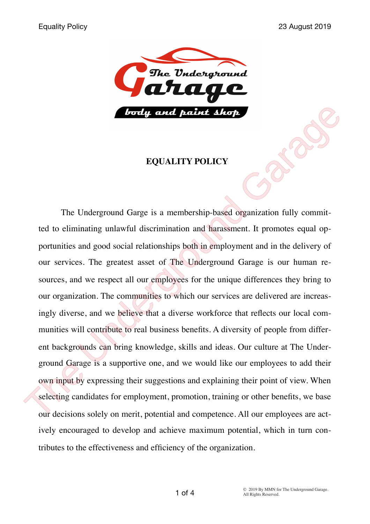

#### **EQUALITY POLICY**

The Underground Garge is a membership-based organization fully committed to eliminating unlawful discrimination and harassment. It promotes equal opportunities and good social relationships both in employment and in the delivery of our services. The greatest asset of The Underground Garage is our human resources, and we respect all our employees for the unique differences they bring to our organization. The communities to which our services are delivered are increasingly diverse, and we believe that a diverse workforce that reflects our local communities will contribute to real business benefits. A diversity of people from different backgrounds can bring knowledge, skills and ideas. Our culture at The Underground Garage is a supportive one, and we would like our employees to add their own input by expressing their suggestions and explaining their point of view. When selecting candidates for employment, promotion, training or other benefits, we base our decisions solely on merit, potential and competence. All our employees are actively encouraged to develop and achieve maximum potential, which in turn contributes to the effectiveness and efficiency of the organization. **EQUALITY POLICY**<br> **EQUALITY POLICY**<br> **EQUALITY POLICY**<br>
The Underground Garge is a membership-based organization fully committed to eliminating unlawful discrimination and harassment. It promotes equal opportunities and g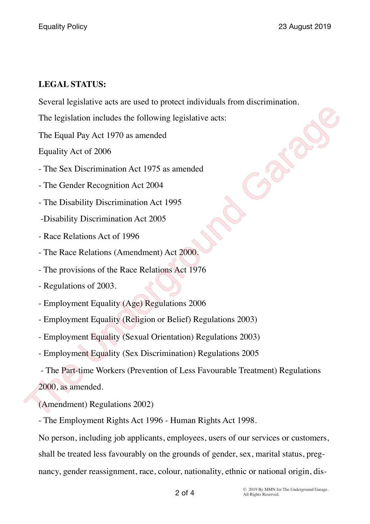## **LEGAL STATUS:**

Several legislative acts are used to protect individuals from discrimination.

The legislation includes the following legislative acts:

The Equal Pay Act 1970 as amended

Equality Act of 2006

- The Sex Discrimination Act 1975 as amended

- The Gender Recognition Act 2004

- The Disability Discrimination Act 1995

-Disability Discrimination Act 2005

- Race Relations Act of 1996

- The Race Relations (Amendment) Act 2000.

- The provisions of the Race Relations Act 1976

- Regulations of 2003.

- Employment Equality (Age) Regulations 2006

- Employment Equality (Religion or Belief) Regulations 2003)

- Employment Equality (Sexual Orientation) Regulations 2003)

- Employment Equality (Sex Discrimination) Regulations 2005

- The Part-time Workers (Prevention of Less Favourable Treatment) Regulations 2000, as amended. The legislation includes the following legislative acts:<br>
The Equal Pay Act 1970 as amended<br>
Equality Act of 2006<br>
The Sex Discrimination Act 1975 as amended<br>
The Gender Recognition Act 2004<br>
The Disability Discrimination

(Amendment) Regulations 2002)

- The Employment Rights Act 1996 - Human Rights Act 1998.

No person, including job applicants, employees, users of our services or customers, shall be treated less favourably on the grounds of gender, sex, marital status, pregnancy, gender reassignment, race, colour, nationality, ethnic or national origin, dis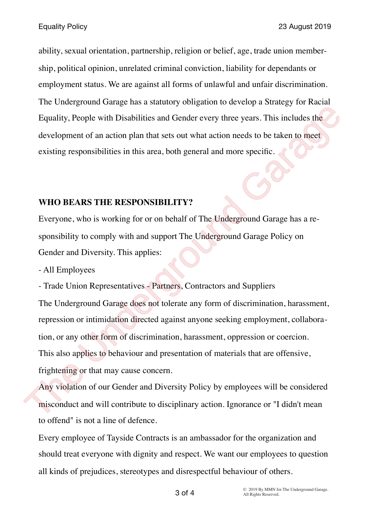ability, sexual orientation, partnership, religion or belief, age, trade union membership, political opinion, unrelated criminal conviction, liability for dependants or employment status. We are against all forms of unlawful and unfair discrimination. The Underground Garage has a statutory obligation to develop a Strategy for Racial Equality, People with Disabilities and Gender every three years. This includes the development of an action plan that sets out what action needs to be taken to meet existing responsibilities in this area, both general and more specific.

#### **WHO BEARS THE RESPONSIBILITY?**

Everyone, who is working for or on behalf of The Underground Garage has a responsibility to comply with and support The Underground Garage Policy on Gender and Diversity. This applies:

- All Employees

- Trade Union Representatives - Partners, Contractors and Suppliers

The Underground Garage does not tolerate any form of discrimination, harassment, repression or intimidation directed against anyone seeking employment, collaboration, or any other form of discrimination, harassment, oppression or coercion. This also applies to behaviour and presentation of materials that are offensive, frightening or that may cause concern. Equality, People with Disabilities and Gender every three years. This includes the<br>development of an action plan that sets out what action needs to be taken to meet<br>existing responsibilities in this area, both general and

Any violation of our Gender and Diversity Policy by employees will be considered misconduct and will contribute to disciplinary action. Ignorance or "I didn't mean to offend" is not a line of defence.

Every employee of Tayside Contracts is an ambassador for the organization and should treat everyone with dignity and respect. We want our employees to question all kinds of prejudices, stereotypes and disrespectful behaviour of others.